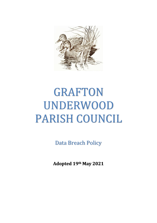

# GRAFTON UNDERWOOD PARISH COUNCIL

Data Breach Policy

**Adopted 19th May 2021**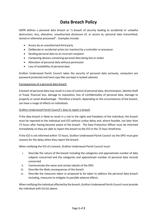# **Data Breach Policy**

GDPR defines a personal data breach as "a breach of security leading to accidental or unlawful destruction, loss, alteration, unauthorised disclosure of, or access to, personal data transmitted, stored or otherwise processed". Examples include:

- Access by an unauthorised third party
- Deliberate or accidental action (or inaction) by a controller or processor
- Sending personal data to an incorrect recipient
- Computing devices containing personal data being lost or stolen
- Alteration of personal data without permission
- Loss of availability of personal data

Grafton Underwood Parish Council takes the security of personal data seriously, computers are password protected and hard copy files are kept in locked cabinets.

#### Consequences of a personal data breach

A breach of personal data may result in a loss of control of personal data, discrimination, identity theft or fraud, financial loss, damage to reputation, loss of confidentiality of personal data, damage to property or social disadvantage. Therefore a breach, depending on the circumstances of the breach, can have a range of effects on individuals.

### Grafton Underwood Parish Council's duty to report a breach

If the data breach is likely to result in a risk to the rights and freedoms of the individual, the breach must be reported to the individual and ICO without undue delay and, where feasible, not later than 72 hours after having become aware of the breach. The Data Protection Officer must be informed immediately so they are able to report the breach to the ICO in the 72 hour timeframe.

If the ICO is not informed within 72 hours, Grafton Underwood Parish Council via the DPO must give reasons for the delay when they report the breach.

When notifying the ICO of a breach, Grafton Underwood Parish Council must:

- i. Describe the nature of the breach including the categories and approximate number of data subjects concerned and the categories and approximate number of personal data records concerned
- ii. Communicate the name and contact details of the DPO
- iii. Describe the likely consequences of the breach
- iv. Describe the measures taken or proposed to be taken to address the personal data breach including, measures to mitigate its possible adverse effects.

When notifying the individual affected by the breach, Grafton Underwood Parish Council must provide the individual with (ii)-(iv) above.